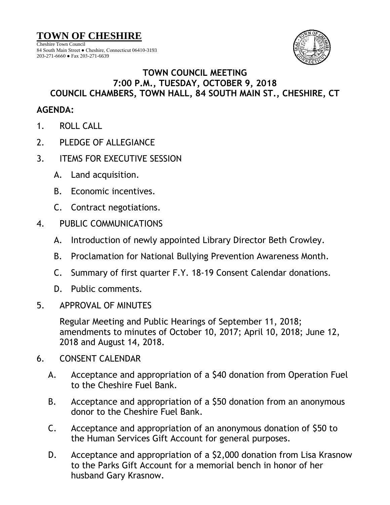**TOWN OF CHESHIRE**

Cheshire Town Council 84 South Main Street ● Cheshire, Connecticut 06410-3193 203-271-6660 ● Fax 203-271-6639



## **TOWN COUNCIL MEETING 7:00 P.M., TUESDAY, OCTOBER 9, 2018 COUNCIL CHAMBERS, TOWN HALL, 84 SOUTH MAIN ST., CHESHIRE, CT**

## **AGENDA:**

- 1. ROLL CALL
- 2. PLEDGE OF ALLEGIANCE
- 3. ITEMS FOR EXECUTIVE SESSION
	- A. Land acquisition.
	- B. Economic incentives.
	- C. Contract negotiations.
- 4. PUBLIC COMMUNICATIONS
	- A. Introduction of newly appointed Library Director Beth Crowley.
	- B. Proclamation for National Bullying Prevention Awareness Month.
	- C. Summary of first quarter F.Y. 18-19 Consent Calendar donations.
	- D. Public comments.
- 5. APPROVAL OF MINUTES

Regular Meeting and Public Hearings of September 11, 2018; amendments to minutes of October 10, 2017; April 10, 2018; June 12, 2018 and August 14, 2018.

- 6. CONSENT CALENDAR
	- A. Acceptance and appropriation of a \$40 donation from Operation Fuel to the Cheshire Fuel Bank.
	- B. Acceptance and appropriation of a \$50 donation from an anonymous donor to the Cheshire Fuel Bank.
	- C. Acceptance and appropriation of an anonymous donation of \$50 to the Human Services Gift Account for general purposes.
	- D. Acceptance and appropriation of a \$2,000 donation from Lisa Krasnow to the Parks Gift Account for a memorial bench in honor of her husband Gary Krasnow.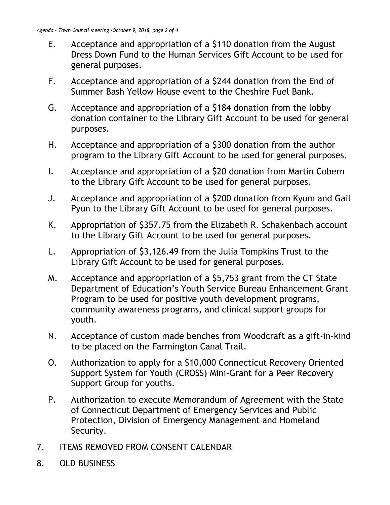- E. Acceptance and appropriation of a \$110 donation from the August Dress Down Fund to the Human Services Gift Account to be used for general purposes.
- F. Acceptance and appropriation of a \$244 donation from the End of Summer Bash Yellow House event to the Cheshire Fuel Bank.
- G. Acceptance and appropriation of a \$184 donation from the lobby donation container to the Library Gift Account to be used for general purposes.
- H. Acceptance and appropriation of a \$300 donation from the author program to the Library Gift Account to be used for general purposes.
- I. Acceptance and appropriation of a \$20 donation from Martin Cobern to the Library Gift Account to be used for general purposes.
- J. Acceptance and appropriation of a \$200 donation from Kyum and Gail Pyun to the Library Gift Account to be used for general purposes.
- K. Appropriation of \$357.75 from the Elizabeth R. Schakenbach account to the Library Gift Account to be used for general purposes.
- L. Appropriation of \$3,126.49 from the Julia Tompkins Trust to the Library Gift Account to be used for general purposes.
- M. Acceptance and appropriation of a \$5,753 grant from the CT State Department of Education's Youth Service Bureau Enhancement Grant Program to be used for positive youth development programs, community awareness programs, and clinical support groups for youth.
- N. Acceptance of custom made benches from Woodcraft as a gift-in-kind to be placed on the Farmington Canal Trail.
- O. Authorization to apply for a \$10,000 Connecticut Recovery Oriented Support System for Youth (CROSS) Mini-Grant for a Peer Recovery Support Group for youths.
- P. Authorization to execute Memorandum of Agreement with the State of Connecticut Department of Emergency Services and Public Protection, Division of Emergency Management and Homeland Security.
- 7. ITEMS REMOVED FROM CONSENT CALENDAR
- 8. OLD BUSINESS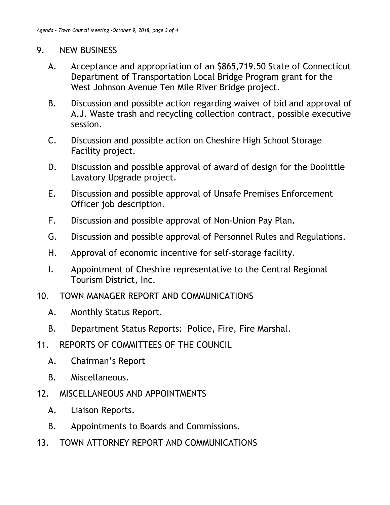## 9. NEW BUSINESS

- A. Acceptance and appropriation of an \$865,719.50 State of Connecticut Department of Transportation Local Bridge Program grant for the West Johnson Avenue Ten Mile River Bridge project.
- B. Discussion and possible action regarding waiver of bid and approval of A.J. Waste trash and recycling collection contract, possible executive session.
- C. Discussion and possible action on Cheshire High School Storage Facility project.
- D. Discussion and possible approval of award of design for the Doolittle Lavatory Upgrade project.
- E. Discussion and possible approval of Unsafe Premises Enforcement Officer job description.
- F. Discussion and possible approval of Non-Union Pay Plan.
- G. Discussion and possible approval of Personnel Rules and Regulations.
- H. Approval of economic incentive for self-storage facility.
- I. Appointment of Cheshire representative to the Central Regional Tourism District, Inc.
- 10. TOWN MANAGER REPORT AND COMMUNICATIONS
	- A. Monthly Status Report.
	- B. Department Status Reports: Police, Fire, Fire Marshal.
- 11. REPORTS OF COMMITTEES OF THE COUNCIL
	- A. Chairman's Report
	- B. Miscellaneous.
- 12. MISCELLANEOUS AND APPOINTMENTS
	- A. Liaison Reports.
	- B. Appointments to Boards and Commissions.
- 13. TOWN ATTORNEY REPORT AND COMMUNICATIONS